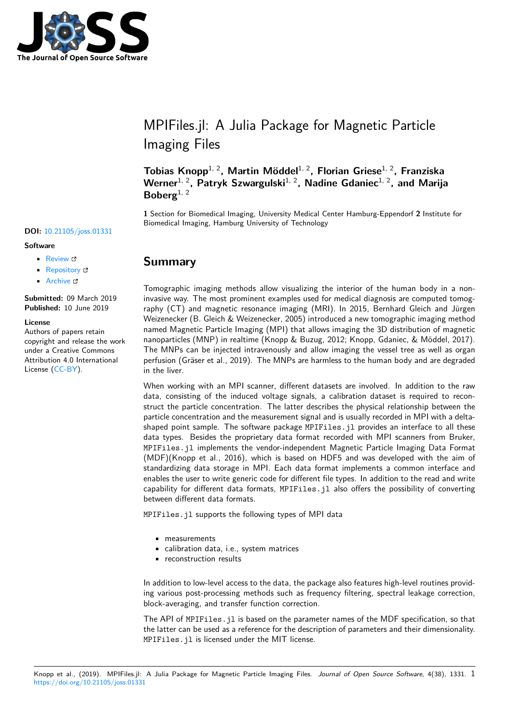

# MPIFiles.jl: A Julia Package for Magnetic Particle Imaging Files

**Tobias Knopp**1, 2**, Martin Möddel**1, 2**, Florian Griese**1, 2**, Franziska** Werner<sup>1, 2</sup>, Patryk Szwargulski<sup>1, 2</sup>, Nadine Gdaniec<sup>1, 2</sup>, and Marija **Boberg**1, 2

**1** Section for Biomedical Imaging, University Medical Center Hamburg-Eppendorf **2** Institute for Biomedical Imaging, Hamburg University of Technology

## **Summary**

Tomographic imaging methods allow visualizing the interior of the human body in a noninvasive way. The most prominent examples used for medical diagnosis are computed tomography (CT) and magnetic resonance imaging (MRI). In 2015, Bernhard Gleich and Jürgen Weizenecker (B. Gleich & Weizenecker, 2005) introduced a new tomographic imaging method named Magnetic Particle Imaging (MPI) that allows imaging the 3D distribution of magnetic nanoparticles (MNP) in realtime (Knopp & Buzug, 2012; Knopp, Gdaniec, & Möddel, 2017). The MNPs can be injected intravenously and allow imaging the vessel tree as well as organ perfusion (Gräser et al., 2019). The MNPs are harmless to the human body and are degraded in the liver.

When working with an MPI scanner, different datasets are involved. In addition to the raw data, consisting of the induced voltage signals, a calibration dataset is required to reconstruct the particle concentration. The latter describes the physical relationship between the particle concentration and the measurement signal and is usually recorded in MPI with a deltashaped point sample. The software package MPIFiles.jl provides an interface to all these data types. Besides the proprietary data format recorded with MPI scanners from Bruker, MPIFiles.jl implements the vendor-independent Magnetic Particle Imaging Data Format (MDF)(Knopp et al., 2016), which is based on HDF5 and was developed with the aim of standardizing data storage in MPI. Each data format implements a common interface and enables the user to write generic code for different file types. In addition to the read and write capability for different data formats, MPIFiles.jl also offers the possibility of converting between different data formats.

MPIFiles.jl supports the following types of MPI data

- measurements
- calibration data, i.e., system matrices
- reconstruction results

In addition to low-level access to the data, the package also features high-level routines providing various post-processing methods such as frequency filtering, spectral leakage correction, block-averaging, and transfer function correction.

The API of MPIFiles.jl is based on the parameter names of the MDF specification, so that the latter can be used as a reference for the description of parameters and their dimensionality. MPIFiles.jl is licensed under the MIT license.

### **DOI:** 10.21105/joss.01331

#### **Software**

- Review &
- [Repository](https://doi.org/10.21105/joss.01331) &
- Archive

**Subm[itted:](https://github.com/openjournals/joss-reviews/issues/1331)** 09 March 2019 **Published:** [10 Ju](https://github.com/MagneticParticleImaging/MPIFiles.jl)ne 2019

#### **Licen[se](https://doi.org/10.5281/zenodo.3242352)**

Authors of papers retain copyright and release the work under a Creative Commons Attribution 4.0 International License (CC-BY).